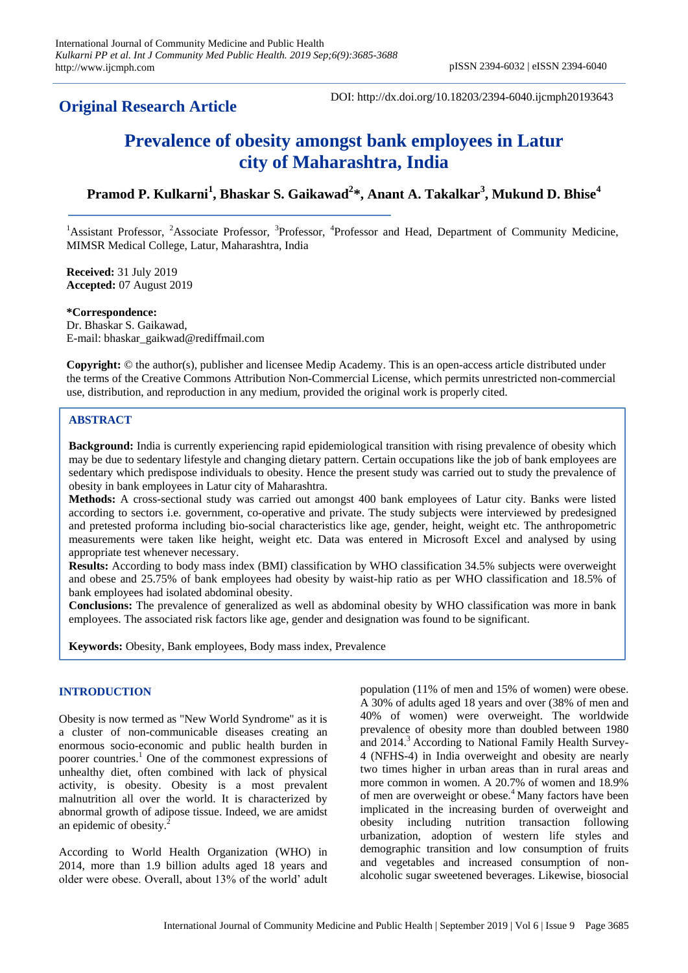## **Original Research Article**

DOI: http://dx.doi.org/10.18203/2394-6040.ijcmph20193643

# **Prevalence of obesity amongst bank employees in Latur city of Maharashtra, India**

## **Pramod P. Kulkarni<sup>1</sup> , Bhaskar S. Gaikawad<sup>2</sup> \*, Anant A. Takalkar<sup>3</sup> , Mukund D. Bhise<sup>4</sup>**

<sup>1</sup>Assistant Professor, <sup>2</sup>Associate Professor, <sup>3</sup>Professor, <sup>4</sup>Professor and Head, Department of Community Medicine, MIMSR Medical College, Latur, Maharashtra, India

**Received:** 31 July 2019 **Accepted:** 07 August 2019

**\*Correspondence:** Dr. Bhaskar S. Gaikawad, E-mail: bhaskar\_gaikwad@rediffmail.com

**Copyright:** © the author(s), publisher and licensee Medip Academy. This is an open-access article distributed under the terms of the Creative Commons Attribution Non-Commercial License, which permits unrestricted non-commercial use, distribution, and reproduction in any medium, provided the original work is properly cited.

### **ABSTRACT**

**Background:** India is currently experiencing rapid epidemiological transition with rising prevalence of obesity which may be due to sedentary lifestyle and changing dietary pattern. Certain occupations like the job of bank employees are sedentary which predispose individuals to obesity. Hence the present study was carried out to study the prevalence of obesity in bank employees in Latur city of Maharashtra.

**Methods:** A cross-sectional study was carried out amongst 400 bank employees of Latur city. Banks were listed according to sectors i.e. government, co-operative and private. The study subjects were interviewed by predesigned and pretested proforma including bio-social characteristics like age, gender, height, weight etc. The anthropometric measurements were taken like height, weight etc. Data was entered in Microsoft Excel and analysed by using appropriate test whenever necessary.

**Results:** According to body mass index (BMI) classification by WHO classification 34.5% subjects were overweight and obese and 25.75% of bank employees had obesity by waist-hip ratio as per WHO classification and 18.5% of bank employees had isolated abdominal obesity.

**Conclusions:** The prevalence of generalized as well as abdominal obesity by WHO classification was more in bank employees. The associated risk factors like age, gender and designation was found to be significant.

**Keywords:** Obesity, Bank employees, Body mass index, Prevalence

#### **INTRODUCTION**

Obesity is now termed as "New World Syndrome" as it is a cluster of non-communicable diseases creating an enormous socio-economic and public health burden in poorer countries. <sup>1</sup> One of the commonest expressions of unhealthy diet, often combined with lack of physical activity, is obesity. Obesity is a most prevalent malnutrition all over the world. It is characterized by abnormal growth of adipose tissue. Indeed, we are amidst an epidemic of obesity.

According to World Health Organization (WHO) in 2014, more than 1.9 billion adults aged 18 years and older were obese. Overall, about 13% of the world' adult population (11% of men and 15% of women) were obese. A 30% of adults aged 18 years and over (38% of men and 40% of women) were overweight. The worldwide prevalence of obesity more than doubled between 1980 and 2014.<sup>3</sup> According to National Family Health Survey-4 (NFHS-4) in India overweight and obesity are nearly two times higher in urban areas than in rural areas and more common in women. A 20.7% of women and 18.9% of men are overweight or obese.<sup>4</sup> Many factors have been implicated in the increasing burden of overweight and obesity including nutrition transaction following urbanization, adoption of western life styles and demographic transition and low consumption of fruits and vegetables and increased consumption of nonalcoholic sugar sweetened beverages. Likewise, biosocial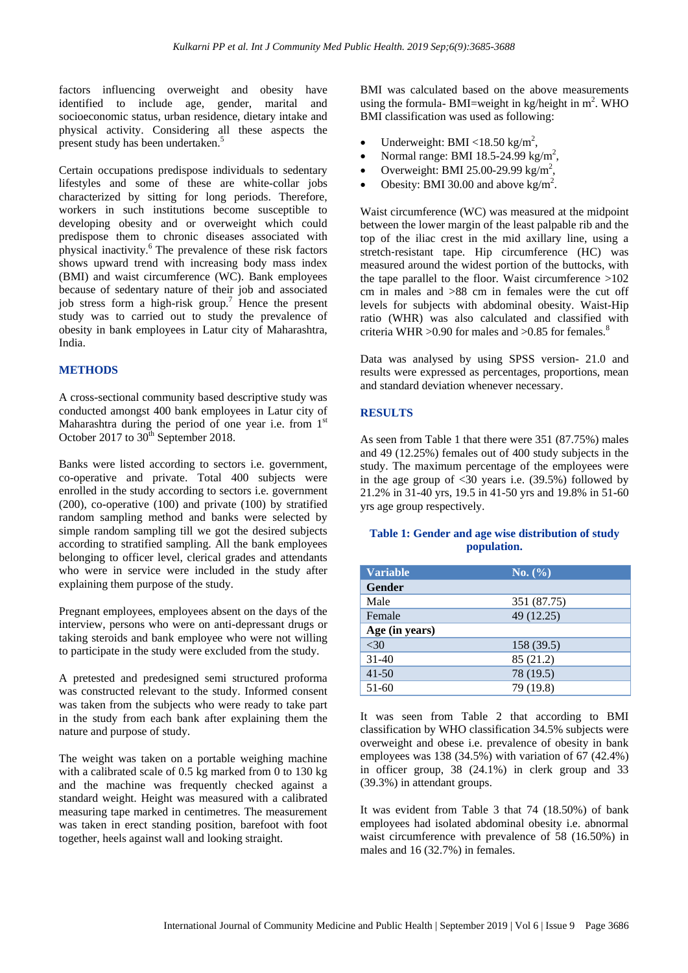factors influencing overweight and obesity have identified to include age, gender, marital and socioeconomic status, urban residence, dietary intake and physical activity. Considering all these aspects the present study has been undertaken.<sup>5</sup>

Certain occupations predispose individuals to sedentary lifestyles and some of these are white-collar jobs characterized by sitting for long periods. Therefore, workers in such institutions become susceptible to developing obesity and or overweight which could predispose them to chronic diseases associated with physical inactivity. $6$  The prevalence of these risk factors shows upward trend with increasing body mass index (BMI) and waist circumference (WC). Bank employees because of sedentary nature of their job and associated job stress form a high-risk group.<sup>7</sup> Hence the present study was to carried out to study the prevalence of obesity in bank employees in Latur city of Maharashtra, India.

#### **METHODS**

A cross-sectional community based descriptive study was conducted amongst 400 bank employees in Latur city of Maharashtra during the period of one year i.e. from  $1<sup>st</sup>$ October 2017 to  $30<sup>th</sup>$  September 2018.

Banks were listed according to sectors i.e. government, co-operative and private. Total 400 subjects were enrolled in the study according to sectors i.e. government (200), co-operative (100) and private (100) by stratified random sampling method and banks were selected by simple random sampling till we got the desired subjects according to stratified sampling. All the bank employees belonging to officer level, clerical grades and attendants who were in service were included in the study after explaining them purpose of the study.

Pregnant employees, employees absent on the days of the interview, persons who were on anti-depressant drugs or taking steroids and bank employee who were not willing to participate in the study were excluded from the study.

A pretested and predesigned semi structured proforma was constructed relevant to the study. Informed consent was taken from the subjects who were ready to take part in the study from each bank after explaining them the nature and purpose of study.

The weight was taken on a portable weighing machine with a calibrated scale of 0.5 kg marked from 0 to 130 kg and the machine was frequently checked against a standard weight. Height was measured with a calibrated measuring tape marked in centimetres. The measurement was taken in erect standing position, barefoot with foot together, heels against wall and looking straight.

BMI was calculated based on the above measurements using the formula- BMI=weight in kg/height in  $m^2$ . WHO BMI classification was used as following:

- Underweight: BMI <18.50 kg/m<sup>2</sup>,
- Normal range: BMI 18.5-24.99 kg/m<sup>2</sup>,
- Overweight: BMI 25.00-29.99 kg/m<sup>2</sup>,
- Obesity: BMI 30.00 and above kg/m<sup>2</sup>.

Waist circumference (WC) was measured at the midpoint between the lower margin of the least palpable rib and the top of the iliac crest in the mid axillary line, using a stretch-resistant tape. Hip circumference (HC) was measured around the widest portion of the buttocks, with the tape parallel to the floor. Waist circumference  $>102$ cm in males and >88 cm in females were the cut off levels for subjects with abdominal obesity. Waist-Hip ratio (WHR) was also calculated and classified with criteria WHR  $>0.90$  for males and  $>0.85$  for females.<sup>8</sup>

Data was analysed by using SPSS version- 21.0 and results were expressed as percentages, proportions, mean and standard deviation whenever necessary.

#### **RESULTS**

As seen from Table 1 that there were 351 (87.75%) males and 49 (12.25%) females out of 400 study subjects in the study. The maximum percentage of the employees were in the age group of  $\langle 30 \rangle$  years i.e. (39.5%) followed by 21.2% in 31-40 yrs, 19.5 in 41-50 yrs and 19.8% in 51-60 yrs age group respectively.

#### **Table 1: Gender and age wise distribution of study population.**

| <b>Variable</b> | No. (%)     |
|-----------------|-------------|
| <b>Gender</b>   |             |
| Male            | 351 (87.75) |
| Female          | 49 (12.25)  |
| Age (in years)  |             |
| $<$ 30          | 158 (39.5)  |
| $31 - 40$       | 85 (21.2)   |
| $41 - 50$       | 78 (19.5)   |
| $51-60$         | 79 (19.8)   |

It was seen from Table 2 that according to BMI classification by WHO classification 34.5% subjects were overweight and obese i.e. prevalence of obesity in bank employees was  $138 (34.5\%)$  with variation of 67 (42.4%) in officer group, 38 (24.1%) in clerk group and 33 (39.3%) in attendant groups.

It was evident from Table 3 that 74 (18.50%) of bank employees had isolated abdominal obesity i.e. abnormal waist circumference with prevalence of 58 (16.50%) in males and 16 (32.7%) in females.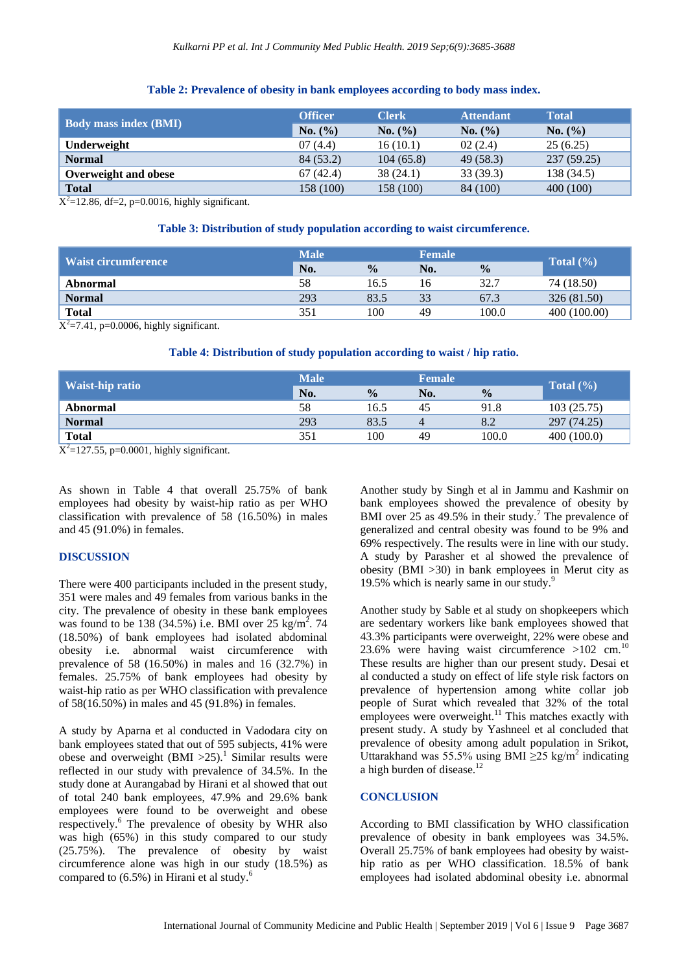#### **Table 2: Prevalence of obesity in bank employees according to body mass index.**

| <b>Body mass index (BMI)</b> | <b>Officer</b> | <b>Clerk</b> | <b>Attendant</b> | <b>Total</b> |
|------------------------------|----------------|--------------|------------------|--------------|
|                              | No. (%)        | No. (%)      | No. (%)          | No. (%)      |
| Underweight                  | 07(4.4)        | 16(10.1)     | 02(2.4)          | 25(6.25)     |
| <b>Normal</b>                | 84 (53.2)      | 104(65.8)    | 49(58.3)         | 237(59.25)   |
| Overweight and obese         | 67(42.4)       | 38(24.1)     | 33(39.3)         | 138 (34.5)   |
| <b>Total</b>                 | 158 (100)      | 158 (100)    | 84 (100)         | 400(100)     |

 $X^2 = 12.86$ , df=2, p=0.0016, highly significant.

#### **Table 3: Distribution of study population according to waist circumference.**

| Waist circumference | <b>Male</b> |               | <b>Female</b> |               |               |
|---------------------|-------------|---------------|---------------|---------------|---------------|
|                     | No.         | $\frac{0}{0}$ | No.           | $\frac{0}{0}$ | Total $(\% )$ |
| Abnormal            | 58          | 16.5          | 16            | 32.7          | 74 (18.50)    |
| <b>Normal</b>       | 293         | 83.5          | 33            | 67.3          | 326 (81.50)   |
| <b>Total</b>        | 351         | 100           | 49            | 100.0         | 400 (100.00)  |

 $X^2$ =7.41, p=0.0006, highly significant.

#### **Table 4: Distribution of study population according to waist / hip ratio.**

| Waist-hip ratio | <b>Male</b> |               | <b>Female</b> |               |               |
|-----------------|-------------|---------------|---------------|---------------|---------------|
|                 | No.         | $\frac{0}{0}$ | No.           | $\frac{0}{0}$ | Total $(\% )$ |
| Abnormal        | 58          | 16.5          | 45            | 91.8          | 103(25.75)    |
| <b>Normal</b>   | 293         | 83.5          |               | 8.2           | 297 (74.25)   |
| <b>Total</b>    | 351         | 100           | 49            | 100.0         | 400(100.0)    |

 $X^2$ =127.55, p=0.0001, highly significant.

As shown in Table 4 that overall 25.75% of bank employees had obesity by waist-hip ratio as per WHO classification with prevalence of 58 (16.50%) in males and 45 (91.0%) in females.

#### **DISCUSSION**

There were 400 participants included in the present study, 351 were males and 49 females from various banks in the city. The prevalence of obesity in these bank employees was found to be 138 (34.5%) i.e. BMI over 25 kg/m<sup>2</sup>. 74 (18.50%) of bank employees had isolated abdominal obesity i.e. abnormal waist circumference with prevalence of 58 (16.50%) in males and 16 (32.7%) in females. 25.75% of bank employees had obesity by waist-hip ratio as per WHO classification with prevalence of 58(16.50%) in males and 45 (91.8%) in females.

A study by Aparna et al conducted in Vadodara city on bank employees stated that out of 595 subjects, 41% were obese and overweight  $(BMI > 25)$ .<sup>1</sup> Similar results were reflected in our study with prevalence of 34.5%. In the study done at Aurangabad by Hirani et al showed that out of total 240 bank employees, 47.9% and 29.6% bank employees were found to be overweight and obese respectively.<sup>6</sup> The prevalence of obesity by WHR also was high (65%) in this study compared to our study (25.75%). The prevalence of obesity by waist circumference alone was high in our study (18.5%) as compared to  $(6.5\%)$  in Hirani et al study.<sup>6</sup>

Another study by Singh et al in Jammu and Kashmir on bank employees showed the prevalence of obesity by BMI over 25 as  $49.5\%$  in their study.<sup>7</sup> The prevalence of generalized and central obesity was found to be 9% and 69% respectively. The results were in line with our study. A study by Parasher et al showed the prevalence of obesity (BMI >30) in bank employees in Merut city as 19.5% which is nearly same in our study.<sup>9</sup>

Another study by Sable et al study on shopkeepers which are sedentary workers like bank employees showed that 43.3% participants were overweight, 22% were obese and 23.6% were having waist circumference  $>102$  cm.<sup>10</sup> These results are higher than our present study. Desai et al conducted a study on effect of life style risk factors on prevalence of hypertension among white collar job people of Surat which revealed that 32% of the total employees were overweight.<sup>11</sup> This matches exactly with present study. A study by Yashneel et al concluded that prevalence of obesity among adult population in Srikot, Uttarakhand was 55.5% using BMI  $\geq$ 25 kg/m<sup>2</sup> indicating a high burden of disease. 12

#### **CONCLUSION**

According to BMI classification by WHO classification prevalence of obesity in bank employees was 34.5%. Overall 25.75% of bank employees had obesity by waisthip ratio as per WHO classification. 18.5% of bank employees had isolated abdominal obesity i.e. abnormal